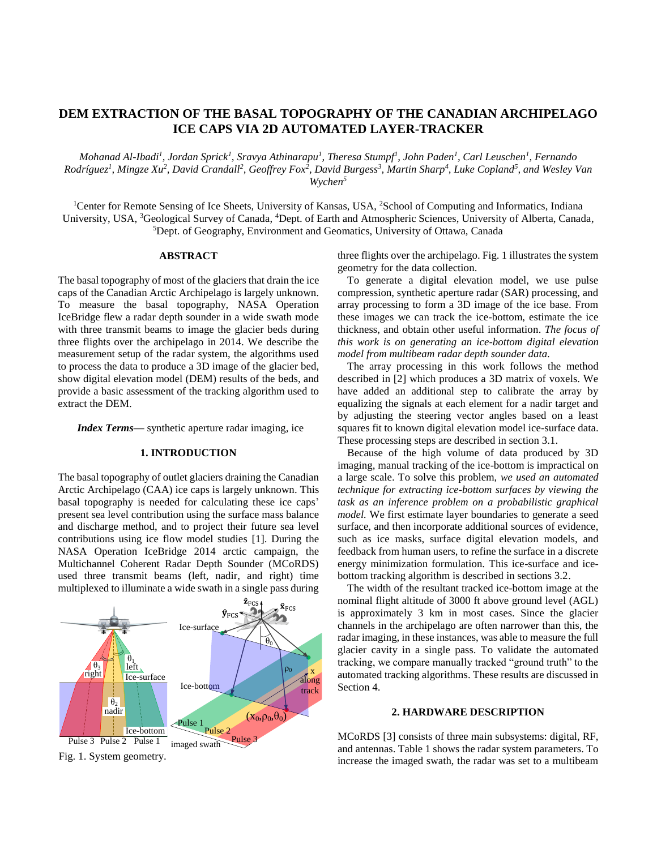# **DEM EXTRACTION OF THE BASAL TOPOGRAPHY OF THE CANADIAN ARCHIPELAGO ICE CAPS VIA 2D AUTOMATED LAYER-TRACKER**

*Mohanad Al-Ibadi<sup>1</sup> , Jordan Sprick<sup>1</sup> , Sravya Athinarapu<sup>1</sup> , Theresa Stumpf<sup>1</sup> , John Paden<sup>1</sup> , Carl Leuschen<sup>1</sup> , Fernando*  Rodríguez<sup>1</sup>, Mingze Xu<sup>2</sup>, David Crandall<sup>2</sup>, Geoffrey Fox<sup>2</sup>, David Burgess<sup>3</sup>, Martin Sharp<sup>4</sup>, Luke Copland<sup>5</sup>, and Wesley Van *Wychen<sup>5</sup>*

<sup>1</sup>Center for Remote Sensing of Ice Sheets, University of Kansas, USA, <sup>2</sup>School of Computing and Informatics, Indiana University, USA, <sup>3</sup>Geological Survey of Canada, <sup>4</sup>Dept. of Earth and Atmospheric Sciences, University of Alberta, Canada, <sup>5</sup>Dept. of Geography, Environment and Geomatics, University of Ottawa, Canada

# **ABSTRACT**

The basal topography of most of the glaciers that drain the ice caps of the Canadian Arctic Archipelago is largely unknown. To measure the basal topography, NASA Operation IceBridge flew a radar depth sounder in a wide swath mode with three transmit beams to image the glacier beds during three flights over the archipelago in 2014. We describe the measurement setup of the radar system, the algorithms used to process the data to produce a 3D image of the glacier bed, show digital elevation model (DEM) results of the beds, and provide a basic assessment of the tracking algorithm used to extract the DEM.

*Index Terms—* synthetic aperture radar imaging, ice

### **1. INTRODUCTION**

The basal topography of outlet glaciers draining the Canadian Arctic Archipelago (CAA) ice caps is largely unknown. This basal topography is needed for calculating these ice caps' present sea level contribution using the surface mass balance and discharge method, and to project their future sea level contributions using ice flow model studies [1]. During the NASA Operation IceBridge 2014 arctic campaign, the Multichannel Coherent Radar Depth Sounder (MCoRDS) used three transmit beams (left, nadir, and right) time multiplexed to illuminate a wide swath in a single pass during



Fig. 1. System geometry.

three flights over the archipelago. Fig. 1 illustrates the system geometry for the data collection.

To generate a digital elevation model, we use pulse compression, synthetic aperture radar (SAR) processing, and array processing to form a 3D image of the ice base. From these images we can track the ice-bottom, estimate the ice thickness, and obtain other useful information. *The focus of this work is on generating an ice-bottom digital elevation model from multibeam radar depth sounder data.*

The array processing in this work follows the method described in [2] which produces a 3D matrix of voxels. We have added an additional step to calibrate the array by equalizing the signals at each element for a nadir target and by adjusting the steering vector angles based on a least squares fit to known digital elevation model ice-surface data. These processing steps are described in section 3.1.

Because of the high volume of data produced by 3D imaging, manual tracking of the ice-bottom is impractical on a large scale. To solve this problem, *we used an automated technique for extracting ice-bottom surfaces by viewing the task as an inference problem on a probabilistic graphical model.* We first estimate layer boundaries to generate a seed surface, and then incorporate additional sources of evidence, such as ice masks, surface digital elevation models, and feedback from human users, to refine the surface in a discrete energy minimization formulation. This ice-surface and icebottom tracking algorithm is described in sections 3.2.

The width of the resultant tracked ice-bottom image at the nominal flight altitude of 3000 ft above ground level (AGL) is approximately 3 km in most cases. Since the glacier channels in the archipelago are often narrower than this, the radar imaging, in these instances, was able to measure the full glacier cavity in a single pass. To validate the automated tracking, we compare manually tracked "ground truth" to the automated tracking algorithms. These results are discussed in Section 4.

### **2. HARDWARE DESCRIPTION**

MCoRDS [3] consists of three main subsystems: digital, RF, and antennas. Table 1 shows the radar system parameters. To increase the imaged swath, the radar was set to a multibeam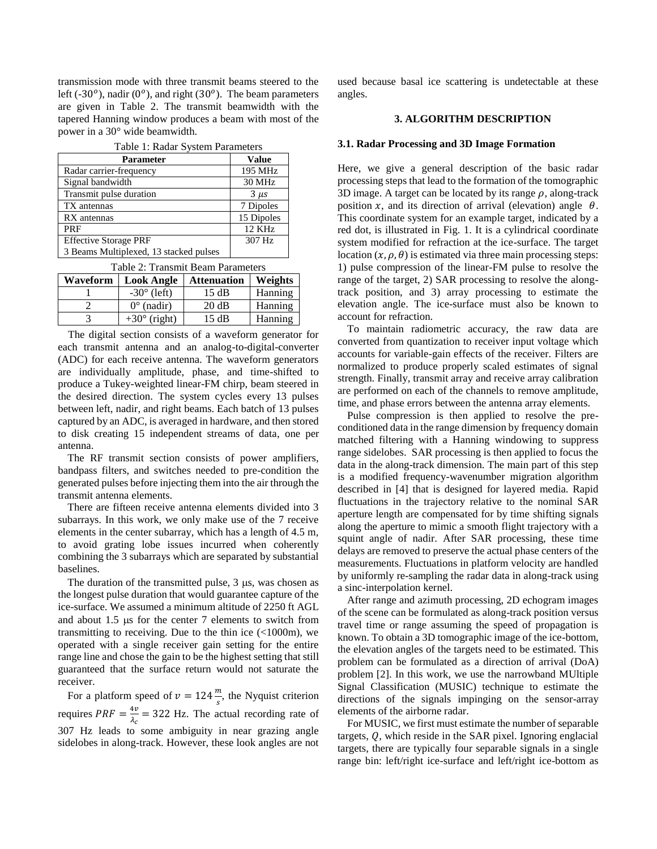transmission mode with three transmit beams steered to the left (-30<sup> $o$ </sup>), nadir (0<sup> $o$ </sup>), and right (30<sup> $o$ </sup>). The beam parameters are given in Table 2. The transmit beamwidth with the tapered Hanning window produces a beam with most of the power in a 30° wide beamwidth.

| Table 1: Radar System Parameters       |               |  |
|----------------------------------------|---------------|--|
| <b>Parameter</b>                       | Value         |  |
| Radar carrier-frequency                | 195 MHz       |  |
| Signal bandwidth                       | <b>30 MHz</b> |  |
| Transmit pulse duration                | $3 \mu s$     |  |
| TX antennas                            | 7 Dipoles     |  |
| RX antennas                            | 15 Dipoles    |  |
| PRF                                    | 12 KHz        |  |
| <b>Effective Storage PRF</b>           | 307 Hz        |  |
| 3 Beams Multiplexed, 13 stacked pulses |               |  |

Table 2: Transmit Beam Parameters

| Waveform | $10010 E$ . Transmit Doam I aramolors<br>Weights<br><b>Look Angle</b><br><b>Attenuation</b> |       |         |  |
|----------|---------------------------------------------------------------------------------------------|-------|---------|--|
|          | $-30^{\circ}$ (left)                                                                        | 15 dB | Hanning |  |
|          | $0^{\circ}$ (nadir)                                                                         | 20 dB | Hanning |  |
|          | $+30^{\circ}$ (right)                                                                       | 15 dB | Hanning |  |

The digital section consists of a waveform generator for each transmit antenna and an analog-to-digital-converter (ADC) for each receive antenna. The waveform generators are individually amplitude, phase, and time-shifted to produce a Tukey-weighted linear-FM chirp, beam steered in the desired direction. The system cycles every 13 pulses between left, nadir, and right beams. Each batch of 13 pulses captured by an ADC, is averaged in hardware, and then stored to disk creating 15 independent streams of data, one per antenna.

The RF transmit section consists of power amplifiers, bandpass filters, and switches needed to pre-condition the generated pulses before injecting them into the air through the transmit antenna elements.

There are fifteen receive antenna elements divided into 3 subarrays. In this work, we only make use of the 7 receive elements in the center subarray, which has a length of 4.5 m, to avoid grating lobe issues incurred when coherently combining the 3 subarrays which are separated by substantial baselines.

The duration of the transmitted pulse,  $3 \mu s$ , was chosen as the longest pulse duration that would guarantee capture of the ice-surface. We assumed a minimum altitude of 2250 ft AGL and about  $1.5 \mu s$  for the center 7 elements to switch from transmitting to receiving. Due to the thin ice  $\left($  <1000m), we operated with a single receiver gain setting for the entire range line and chose the gain to be the highest setting that still guaranteed that the surface return would not saturate the receiver.

For a platform speed of  $v = 124 \frac{m}{s}$ , the Nyquist criterion requires  $PRF = \frac{4v}{v}$  $\frac{4\nu}{\lambda_c}$  = 322 Hz. The actual recording rate of 307 Hz leads to some ambiguity in near grazing angle sidelobes in along-track. However, these look angles are not

used because basal ice scattering is undetectable at these angles.

## **3. ALGORITHM DESCRIPTION**

### **3.1. Radar Processing and 3D Image Formation**

Here, we give a general description of the basic radar processing steps that lead to the formation of the tomographic 3D image. A target can be located by its range  $\rho$ , along-track position x, and its direction of arrival (elevation) angle  $\theta$ . This coordinate system for an example target, indicated by a red dot, is illustrated in Fig. 1. It is a cylindrical coordinate system modified for refraction at the ice-surface. The target location  $(x, \rho, \theta)$  is estimated via three main processing steps: 1) pulse compression of the linear-FM pulse to resolve the range of the target, 2) SAR processing to resolve the alongtrack position, and 3) array processing to estimate the elevation angle. The ice-surface must also be known to account for refraction.

To maintain radiometric accuracy, the raw data are converted from quantization to receiver input voltage which accounts for variable-gain effects of the receiver. Filters are normalized to produce properly scaled estimates of signal strength. Finally, transmit array and receive array calibration are performed on each of the channels to remove amplitude, time, and phase errors between the antenna array elements.

Pulse compression is then applied to resolve the preconditioned data in the range dimension by frequency domain matched filtering with a Hanning windowing to suppress range sidelobes. SAR processing is then applied to focus the data in the along-track dimension. The main part of this step is a modified frequency-wavenumber migration algorithm described in [4] that is designed for layered media. Rapid fluctuations in the trajectory relative to the nominal SAR aperture length are compensated for by time shifting signals along the aperture to mimic a smooth flight trajectory with a squint angle of nadir. After SAR processing, these time delays are removed to preserve the actual phase centers of the measurements. Fluctuations in platform velocity are handled by uniformly re-sampling the radar data in along-track using a sinc-interpolation kernel.

After range and azimuth processing, 2D echogram images of the scene can be formulated as along-track position versus travel time or range assuming the speed of propagation is known. To obtain a 3D tomographic image of the ice-bottom, the elevation angles of the targets need to be estimated. This problem can be formulated as a direction of arrival (DoA) problem [2]. In this work, we use the narrowband MUltiple Signal Classification (MUSIC) technique to estimate the directions of the signals impinging on the sensor-array elements of the airborne radar.

For MUSIC, we first must estimate the number of separable targets,  $Q$ , which reside in the SAR pixel. Ignoring englacial targets, there are typically four separable signals in a single range bin: left/right ice-surface and left/right ice-bottom as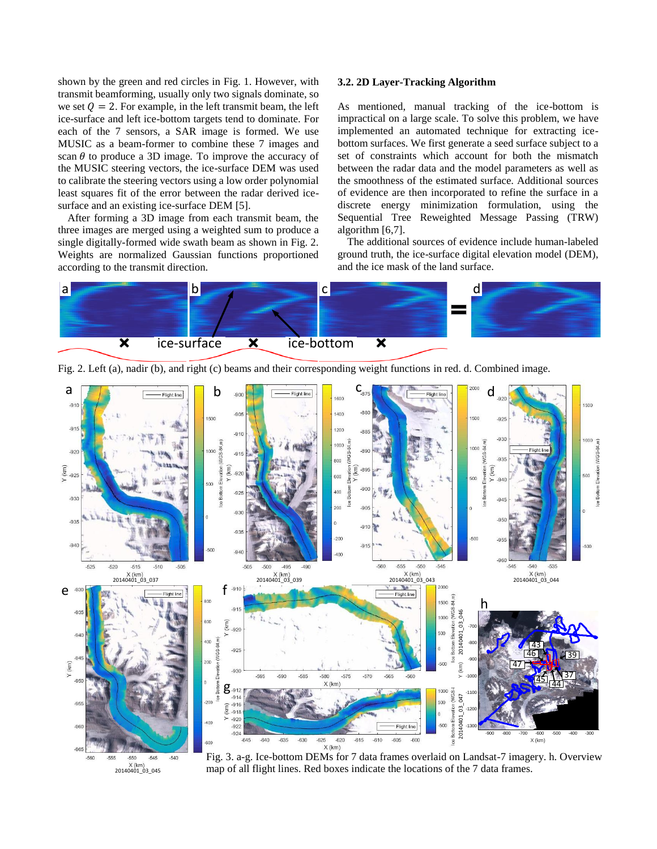shown by the green and red circles in Fig. 1. However, with transmit beamforming, usually only two signals dominate, so we set  $Q = 2$ . For example, in the left transmit beam, the left ice-surface and left ice-bottom targets tend to dominate. For each of the 7 sensors, a SAR image is formed. We use MUSIC as a beam-former to combine these 7 images and scan  $\theta$  to produce a 3D image. To improve the accuracy of the MUSIC steering vectors, the ice-surface DEM was used to calibrate the steering vectors using a low order polynomial least squares fit of the error between the radar derived icesurface and an existing ice-surface DEM [5].

After forming a 3D image from each transmit beam, the three images are merged using a weighted sum to produce a single digitally-formed wide swath beam as shown in Fig. 2. Weights are normalized Gaussian functions proportioned according to the transmit direction.

 $X$ (km)<br>20140401\_03\_045

 $-550$ 

# **3.2. 2D Layer-Tracking Algorithm**

As mentioned, manual tracking of the ice-bottom is impractical on a large scale. To solve this problem, we have implemented an automated technique for extracting icebottom surfaces. We first generate a seed surface subject to a set of constraints which account for both the mismatch between the radar data and the model parameters as well as the smoothness of the estimated surface. Additional sources of evidence are then incorporated to refine the surface in a discrete energy minimization formulation, using the Sequential Tree Reweighted Message Passing (TRW) algorithm [6,7].

The additional sources of evidence include human-labeled ground truth, the ice-surface digital elevation model (DEM), and the ice mask of the land surface.





Fig. 2. Left (a), nadir (b), and right (c) beams and their corresponding weight functions in red. d. Combined image.

Fig. 3. a-g. Ice-bottom DEMs for 7 data frames overlaid on Landsat-7 imagery. h. Overview map of all flight lines. Red boxes indicate the locations of the 7 data frames.